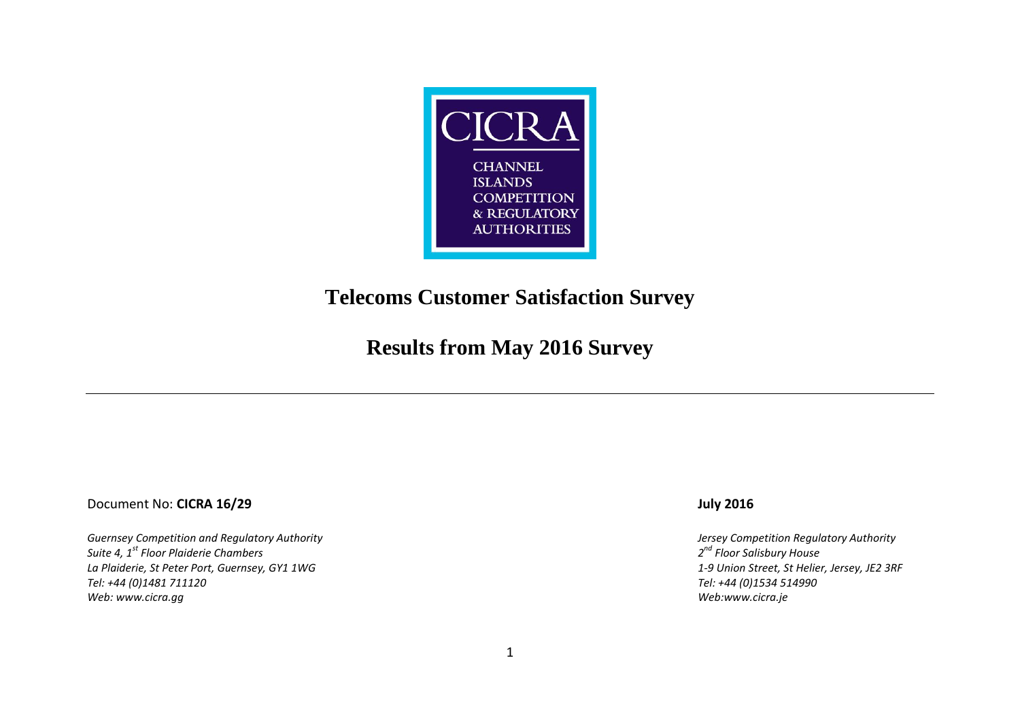

## **Telecoms Customer Satisfaction Survey**

# **Results from May 2016 Survey**

### Document No: **CICRA 16/29 July 2016**

*Guernsey Competition and Regulatory Authority Jersey Competition Regulatory Authority Suite 4, 1st Floor Plaiderie Chambers 2 La Plaiderie, St Peter Port, Guernsey, GY1 1WG*<br>Tel: +44 (0)1481 711120 *Web: [www.cicra.gg](http://www.cicra.gg/) Web[:www.cicra.je](http://www.cicra.je/)*

*nd Floor Salisbury House Tel: +44 (0)1481 711120 Tel: +44 (0)1534 514990*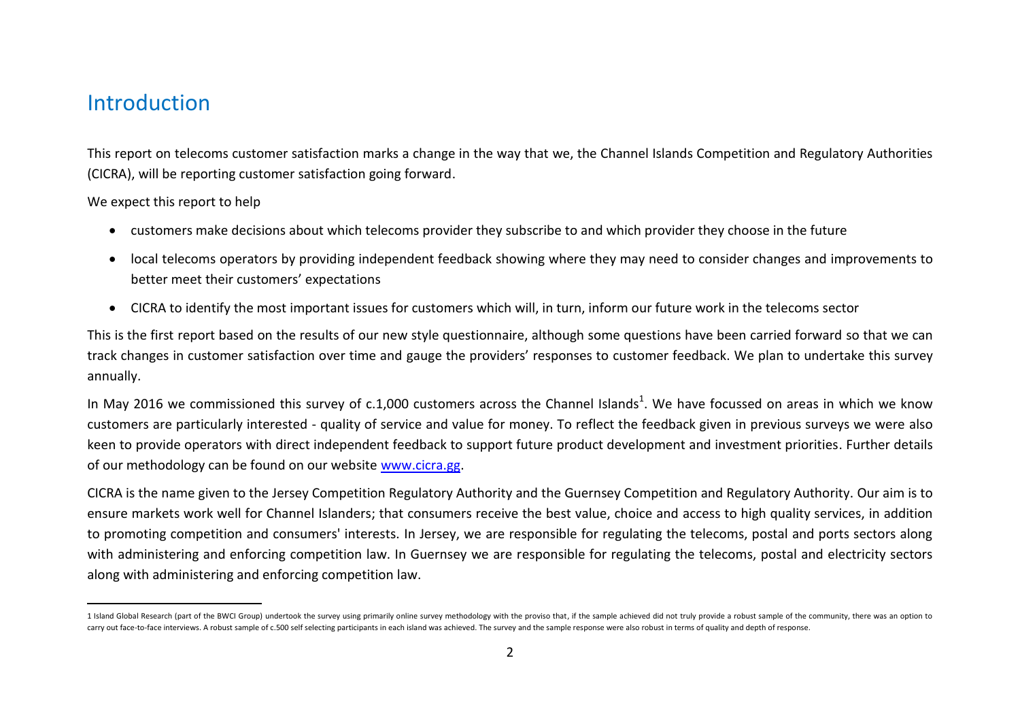### Introduction

This report on telecoms customer satisfaction marks a change in the way that we, the Channel Islands Competition and Regulatory Authorities (CICRA), will be reporting customer satisfaction going forward.

We expect this report to help

- customers make decisions about which telecoms provider they subscribe to and which provider they choose in the future
- local telecoms operators by providing independent feedback showing where they may need to consider changes and improvements to better meet their customers' expectations
- CICRA to identify the most important issues for customers which will, in turn, inform our future work in the telecoms sector

This is the first report based on the results of our new style questionnaire, although some questions have been carried forward so that we can track changes in customer satisfaction over time and gauge the providers' responses to customer feedback. We plan to undertake this survey annually.

In May 2016 we commissioned this survey of c.1,000 customers across the Channel Islands<sup>1</sup>. We have focussed on areas in which we know customers are particularly interested - quality of service and value for money. To reflect the feedback given in previous surveys we were also keen to provide operators with direct independent feedback to support future product development and investment priorities. Further details of our methodology can be found on our website [www.cicra.gg.](http://www.cicra.gg/)

CICRA is the name given to the Jersey Competition Regulatory Authority and the Guernsey Competition and Regulatory Authority. Our aim is to ensure markets work well for Channel Islanders; that consumers receive the best value, choice and access to high quality services, in addition to promoting competition and consumers' interests. In Jersey, we are responsible for regulating the telecoms, postal and ports sectors along with administering and enforcing competition law. In Guernsey we are responsible for regulating the telecoms, postal and electricity sectors along with administering and enforcing competition law.

 $\overline{a}$ 1 Island Global Research (part of the BWCI Group) undertook the survey using primarily online survey methodology with the proviso that, if the sample achieved did not truly provide a robust sample of the community, there w carry out face-to-face interviews. A robust sample of c.500 self selecting participants in each island was achieved. The survey and the sample response were also robust in terms of quality and depth of response.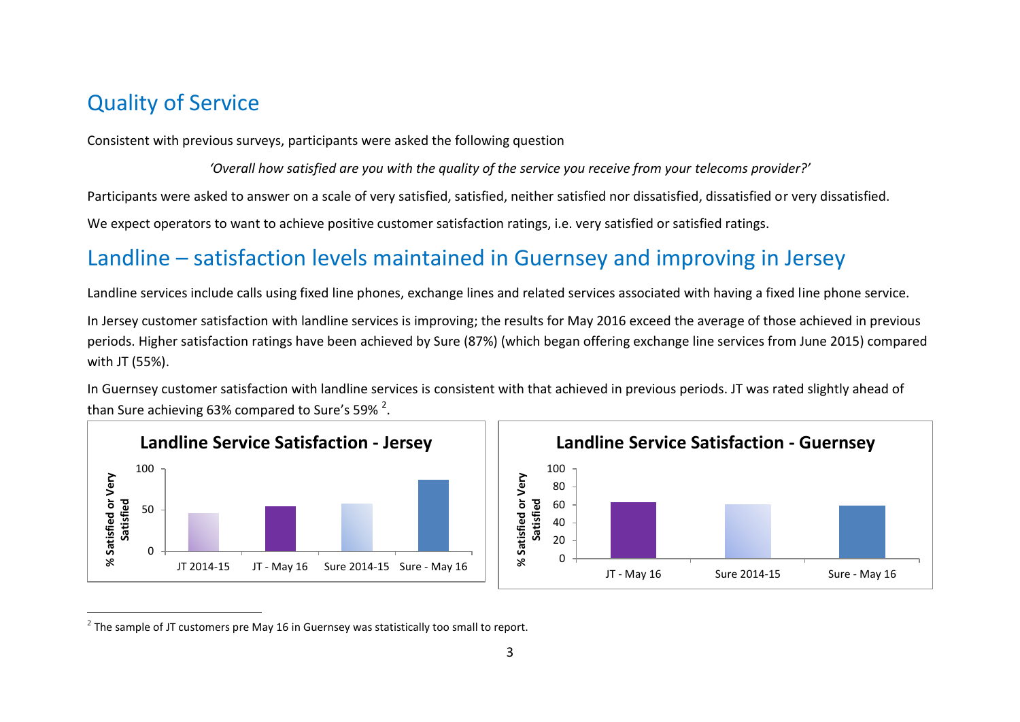# Quality of Service

Consistent with previous surveys, participants were asked the following question

'Overall how satisfied are you with the quality of the service you receive from your telecoms provider?'

Participants were asked to answer on a scale of very satisfied, satisfied, neither satisfied nor dissatisfied, dissatisfied or very dissatisfied.

We expect operators to want to achieve positive customer satisfaction ratings, i.e. very satisfied or satisfied ratings.

# Landline – satisfaction levels maintained in Guernsey and improving in Jersey

Landline services include calls using fixed line phones, exchange lines and related services associated with having a fixed line phone service.

In Jersey customer satisfaction with landline services is improving; the results for May 2016 exceed the average of those achieved in previous periods. Higher satisfaction ratings have been achieved by Sure (87%) (which began offering exchange line services from June 2015) compared with JT (55%).

In Guernsey customer satisfaction with landline services is consistent with that achieved in previous periods. JT was rated slightly ahead of than Sure achieving 63% compared to Sure's 59%  $^2$ .





 $\overline{a}$  $^2$  The sample of JT customers pre May 16 in Guernsey was statistically too small to report.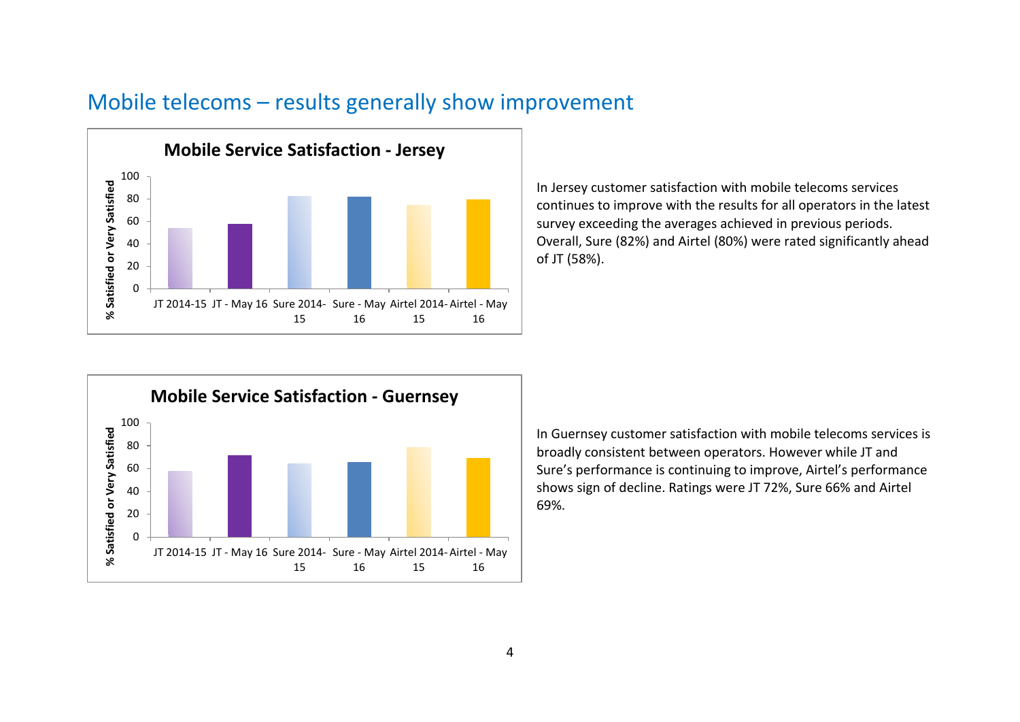

# Mobile telecoms – results generally show improvement

In Jersey customer satisfaction with mobile telecoms services continues to improve with the results for all operators in the latest survey exceeding the averages achieved in previous periods. Overall, Sure (82%) and Airtel (80%) were rated significantly ahead of JT (58%).



In Guernsey customer satisfaction with mobile telecoms services is broadly consistent between operators. However while JT and Sure's performance is continuing to improve, Airtel's performance shows sign of decline. Ratings were JT 72%, Sure 66% and Airtel 69%.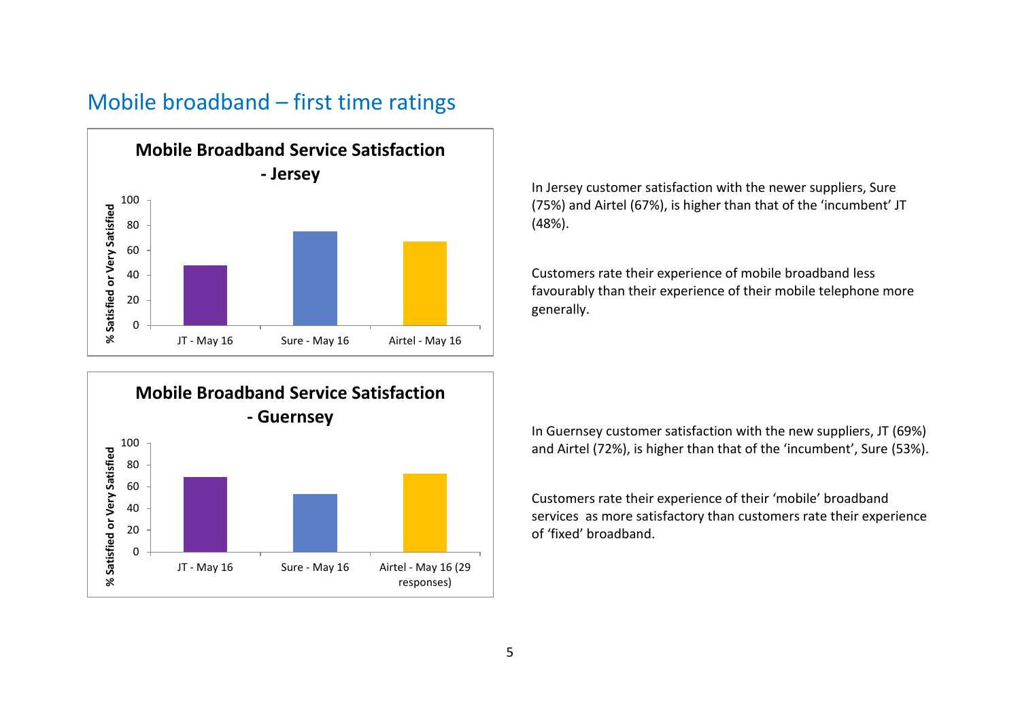### Mobile broadband – first time ratings





In Jersey customer satisfaction with the newer suppliers, Sure (75%) and Airtel (67%), is higher than that of the 'incumbent' JT (48%).

Customers rate their experience of mobile broadband less favourably than their experience of their mobile telephone more generally.

In Guernsey customer satisfaction with the new suppliers, JT (69%) and Airtel (72%), is higher than that of the 'incumbent', Sure (53%).

Customers rate their experience of their 'mobile' broadband services as more satisfactory than customers rate their experience of 'fixed' broadband.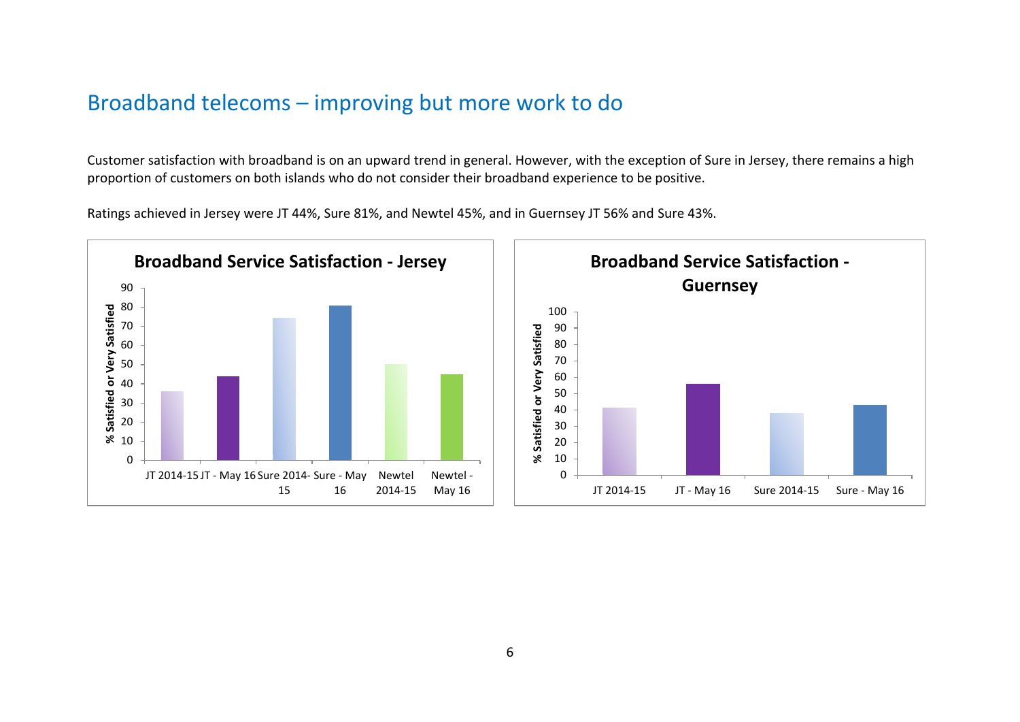# Broadband telecoms – improving but more work to do

Customer satisfaction with broadband is on an upward trend in general. However, with the exception of Sure in Jersey, there remains a high proportion of customers on both islands who do not consider their broadband experience to be positive.

Ratings achieved in Jersey were JT 44%, Sure 81%, and Newtel 45%, and in Guernsey JT 56% and Sure 43%.

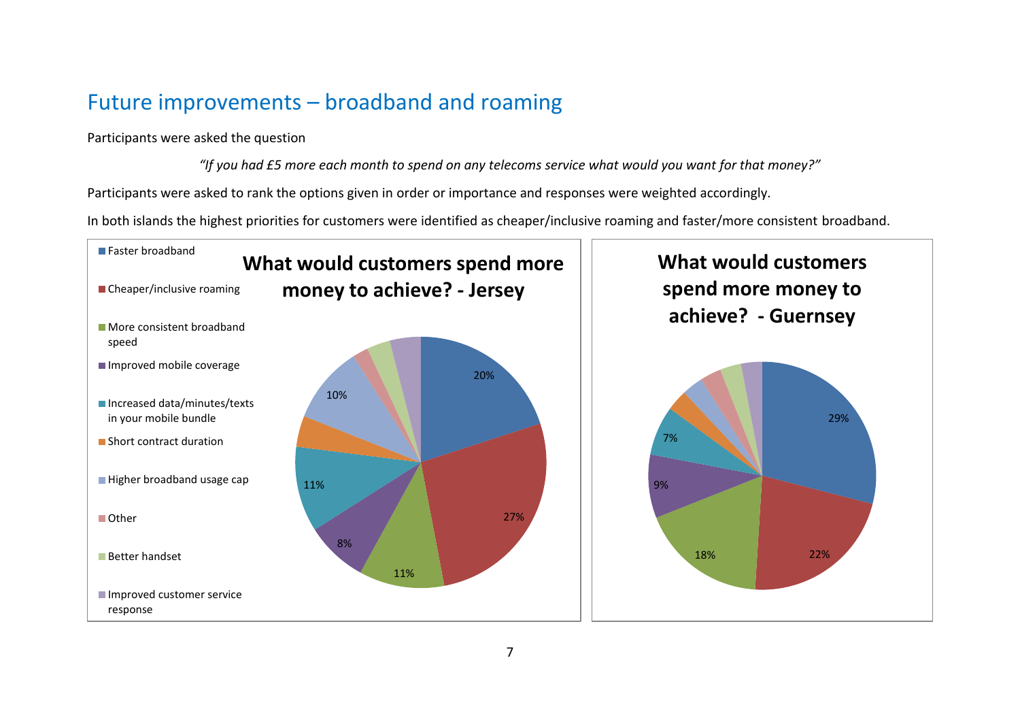# Future improvements – broadband and roaming

Participants were asked the question

*"If you had £5 more each month to spend on any telecoms service what would you want for that money?"*

Participants were asked to rank the options given in order or importance and responses were weighted accordingly.

In both islands the highest priorities for customers were identified as cheaper/inclusive roaming and faster/more consistent broadband.

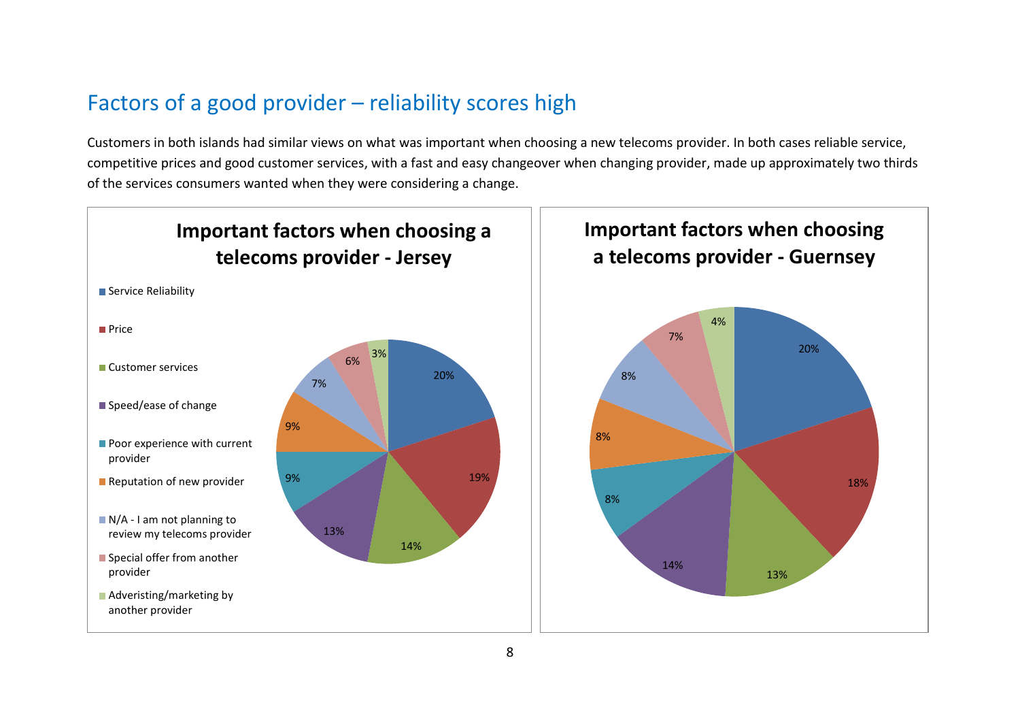# Factors of a good provider – reliability scores high

Customers in both islands had similar views on what was important when choosing a new telecoms provider. In both cases reliable service, competitive prices and good customer services, with a fast and easy changeover when changing provider, made up approximately two thirds of the services consumers wanted when they were considering a change.

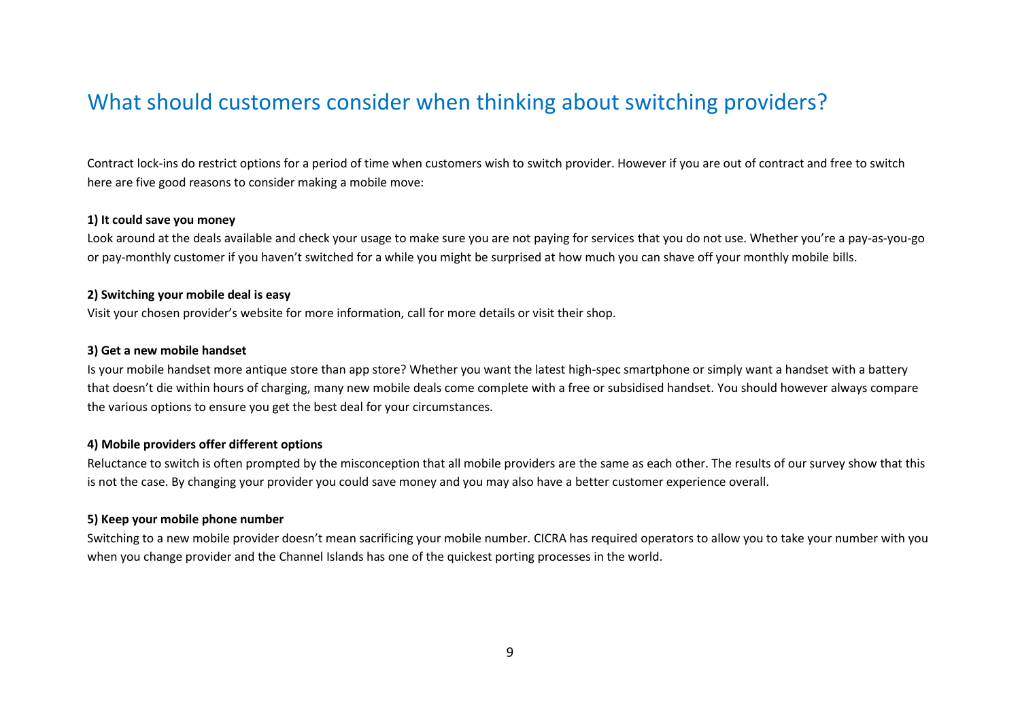# What should customers consider when thinking about switching providers?

Contract lock-ins do restrict options for a period of time when customers wish to switch provider. However if you are out of contract and free to switch here are five good reasons to consider making a mobile move:

#### **1) It could save you money**

Look around at the deals available and check your usage to make sure you are not paying for services that you do not use. Whether you're a pay-as-you-go or pay-monthly customer if you haven't switched for a while you might be surprised at how much you can shave off your monthly mobile bills.

#### **2) Switching your mobile deal is easy**

Visit your chosen provider's website for more information, call for more details or visit their shop.

### **3) Get a new mobile handset**

Is your mobile handset more antique store than app store? Whether you want the latest high-spec smartphone or simply want a handset with a battery that doesn't die within hours of charging, many new mobile deals come complete with a free or subsidised handset. You should however always compare the various options to ensure you get the best deal for your circumstances.

#### **4) Mobile providers offer different options**

Reluctance to switch is often prompted by the misconception that all mobile providers are the same as each other. The results of our survey show that this is not the case. By changing your provider you could save money and you may also have a better customer experience overall.

#### **5) Keep your mobile phone number**

Switching to a new mobile provider doesn't mean sacrificing your mobile number. CICRA has required operators to allow you to take your number with you when you change provider and the Channel Islands has one of the quickest porting processes in the world.